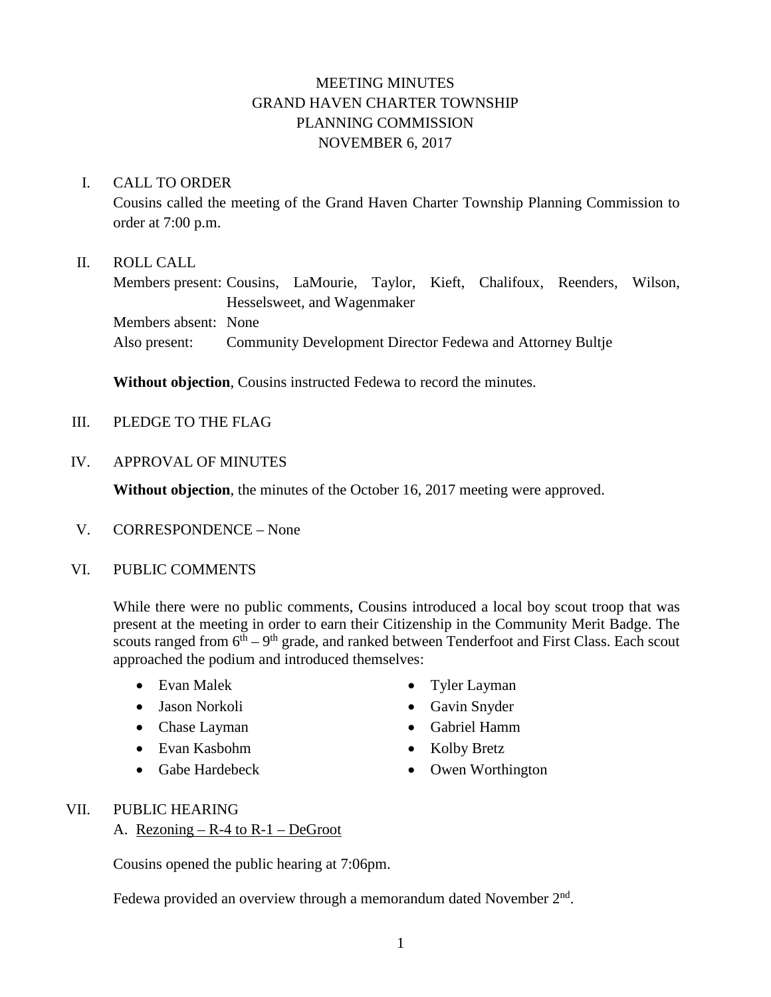# MEETING MINUTES GRAND HAVEN CHARTER TOWNSHIP PLANNING COMMISSION NOVEMBER 6, 2017

#### I. CALL TO ORDER

Cousins called the meeting of the Grand Haven Charter Township Planning Commission to order at 7:00 p.m.

#### II. ROLL CALL

Members present: Cousins, LaMourie, Taylor, Kieft, Chalifoux, Reenders, Wilson, Hesselsweet, and Wagenmaker Members absent: None Also present: Community Development Director Fedewa and Attorney Bultje

**Without objection**, Cousins instructed Fedewa to record the minutes.

III. PLEDGE TO THE FLAG

#### IV. APPROVAL OF MINUTES

**Without objection**, the minutes of the October 16, 2017 meeting were approved.

V. CORRESPONDENCE – None

#### VI. PUBLIC COMMENTS

While there were no public comments, Cousins introduced a local boy scout troop that was present at the meeting in order to earn their Citizenship in the Community Merit Badge. The scouts ranged from  $6<sup>th</sup> - 9<sup>th</sup>$  grade, and ranked between Tenderfoot and First Class. Each scout approached the podium and introduced themselves:

- Evan Malek
- Jason Norkoli
- Chase Layman
- Evan Kasbohm
- Gabe Hardebeck
- Tyler Layman
- Gavin Snyder
- Gabriel Hamm
- Kolby Bretz
- Owen Worthington

#### VII. PUBLIC HEARING

A. Rezoning  $- R-4$  to  $R-1 - DeG$  root

Cousins opened the public hearing at 7:06pm.

Fedewa provided an overview through a memorandum dated November  $2<sup>nd</sup>$ .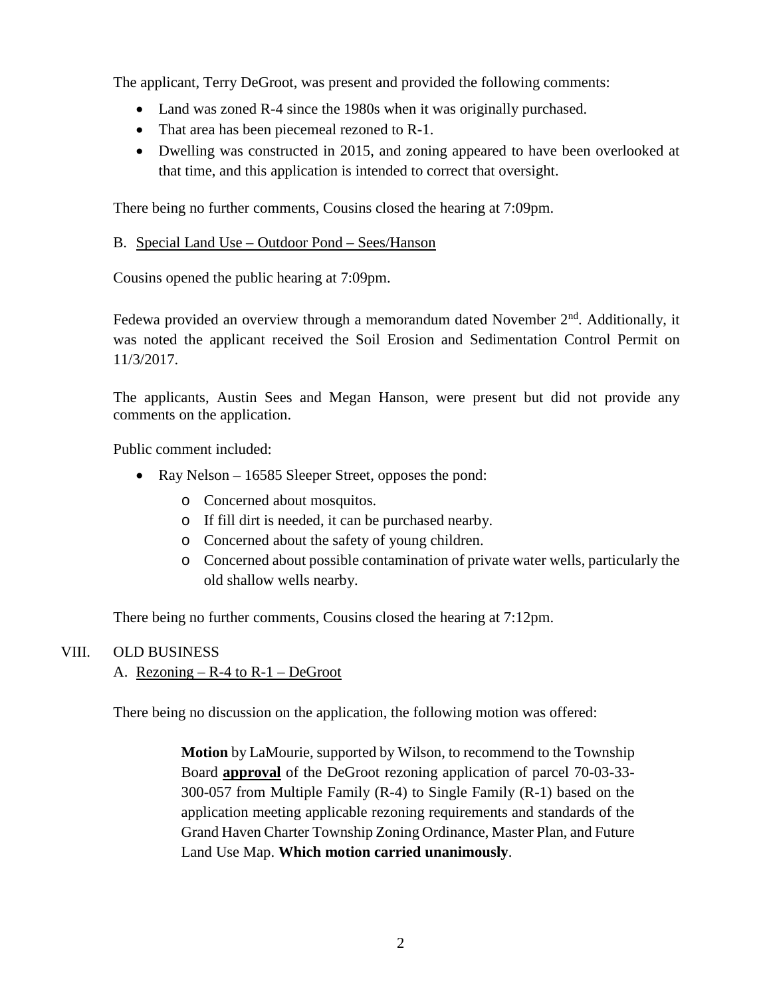The applicant, Terry DeGroot, was present and provided the following comments:

- Land was zoned R-4 since the 1980s when it was originally purchased.
- That area has been piecemeal rezoned to R-1.
- Dwelling was constructed in 2015, and zoning appeared to have been overlooked at that time, and this application is intended to correct that oversight.

There being no further comments, Cousins closed the hearing at 7:09pm.

#### B. Special Land Use – Outdoor Pond – Sees/Hanson

Cousins opened the public hearing at 7:09pm.

Fedewa provided an overview through a memorandum dated November 2<sup>nd</sup>. Additionally, it was noted the applicant received the Soil Erosion and Sedimentation Control Permit on 11/3/2017.

The applicants, Austin Sees and Megan Hanson, were present but did not provide any comments on the application.

Public comment included:

- Ray Nelson 16585 Sleeper Street, opposes the pond:
	- o Concerned about mosquitos.
	- o If fill dirt is needed, it can be purchased nearby.
	- o Concerned about the safety of young children.
	- o Concerned about possible contamination of private water wells, particularly the old shallow wells nearby.

There being no further comments, Cousins closed the hearing at 7:12pm.

#### VIII. OLD BUSINESS

### A. Rezoning  $- R - 4$  to  $R - 1 - DeG$  root

There being no discussion on the application, the following motion was offered:

**Motion** by LaMourie, supported by Wilson, to recommend to the Township Board **approval** of the DeGroot rezoning application of parcel 70-03-33- 300-057 from Multiple Family (R-4) to Single Family (R-1) based on the application meeting applicable rezoning requirements and standards of the Grand Haven Charter Township Zoning Ordinance, Master Plan, and Future Land Use Map. **Which motion carried unanimously**.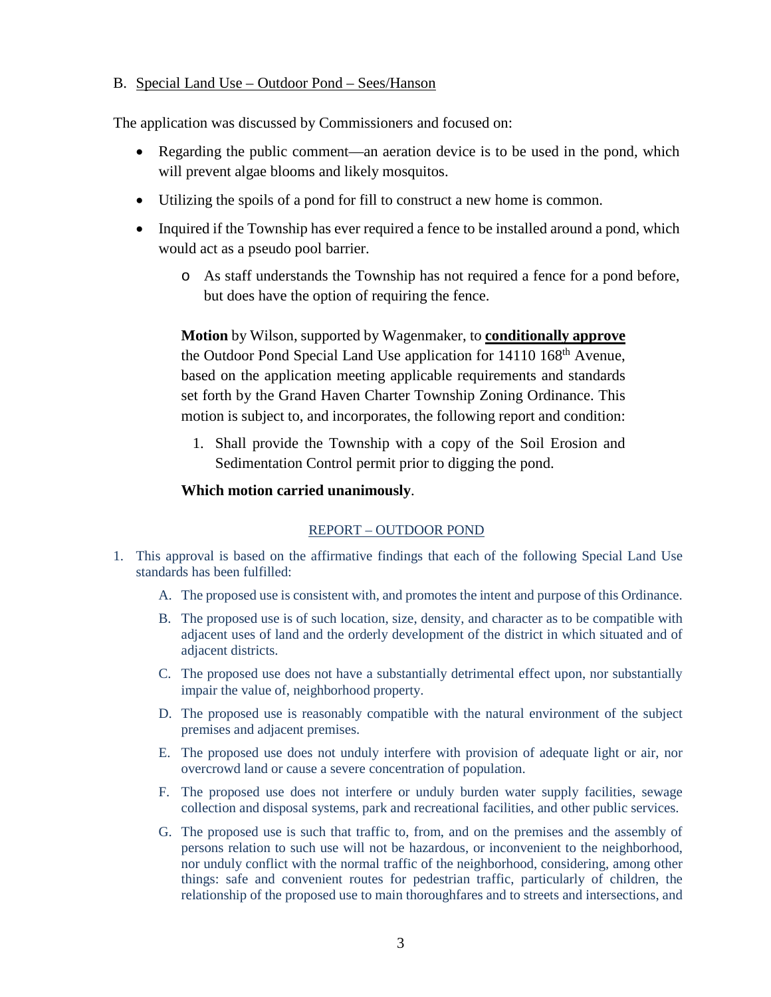#### B. Special Land Use – Outdoor Pond – Sees/Hanson

The application was discussed by Commissioners and focused on:

- Regarding the public comment—an aeration device is to be used in the pond, which will prevent algae blooms and likely mosquitos.
- Utilizing the spoils of a pond for fill to construct a new home is common.
- Inquired if the Township has ever required a fence to be installed around a pond, which would act as a pseudo pool barrier.
	- o As staff understands the Township has not required a fence for a pond before, but does have the option of requiring the fence.

**Motion** by Wilson, supported by Wagenmaker, to **conditionally approve** the Outdoor Pond Special Land Use application for 14110 168<sup>th</sup> Avenue, based on the application meeting applicable requirements and standards set forth by the Grand Haven Charter Township Zoning Ordinance. This motion is subject to, and incorporates, the following report and condition:

1. Shall provide the Township with a copy of the Soil Erosion and Sedimentation Control permit prior to digging the pond.

### **Which motion carried unanimously**.

### REPORT – OUTDOOR POND

- 1. This approval is based on the affirmative findings that each of the following Special Land Use standards has been fulfilled:
	- A. The proposed use is consistent with, and promotes the intent and purpose of this Ordinance.
	- B. The proposed use is of such location, size, density, and character as to be compatible with adjacent uses of land and the orderly development of the district in which situated and of adjacent districts.
	- C. The proposed use does not have a substantially detrimental effect upon, nor substantially impair the value of, neighborhood property.
	- D. The proposed use is reasonably compatible with the natural environment of the subject premises and adjacent premises.
	- E. The proposed use does not unduly interfere with provision of adequate light or air, nor overcrowd land or cause a severe concentration of population.
	- F. The proposed use does not interfere or unduly burden water supply facilities, sewage collection and disposal systems, park and recreational facilities, and other public services.
	- G. The proposed use is such that traffic to, from, and on the premises and the assembly of persons relation to such use will not be hazardous, or inconvenient to the neighborhood, nor unduly conflict with the normal traffic of the neighborhood, considering, among other things: safe and convenient routes for pedestrian traffic, particularly of children, the relationship of the proposed use to main thoroughfares and to streets and intersections, and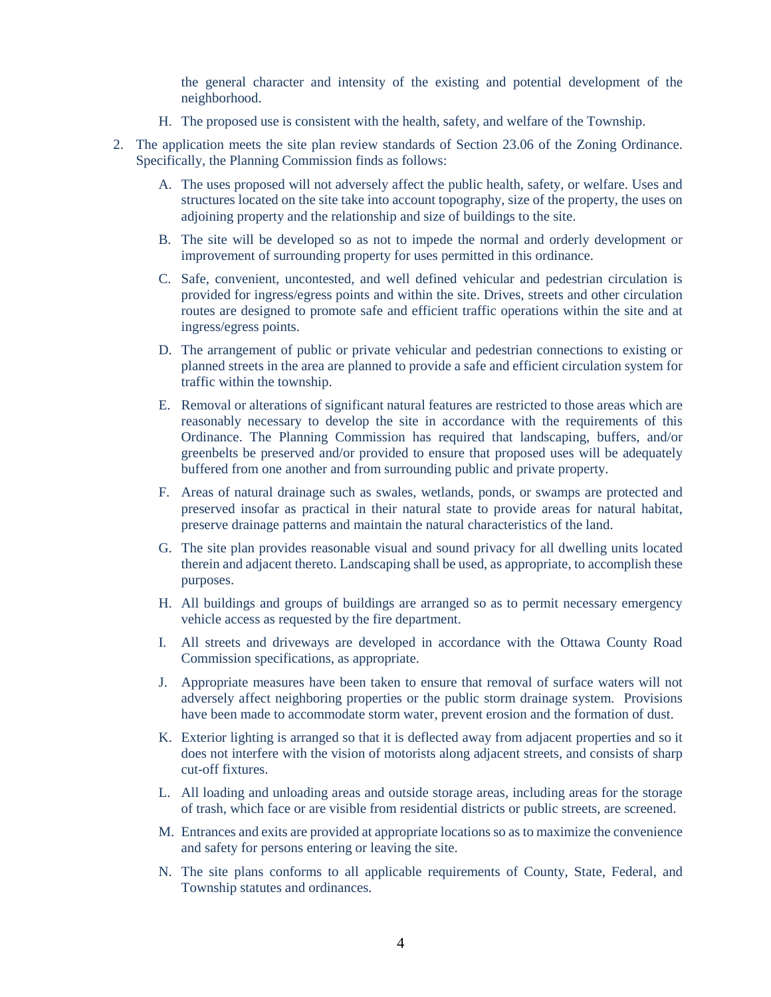the general character and intensity of the existing and potential development of the neighborhood.

- H. The proposed use is consistent with the health, safety, and welfare of the Township.
- 2. The application meets the site plan review standards of Section 23.06 of the Zoning Ordinance. Specifically, the Planning Commission finds as follows:
	- A. The uses proposed will not adversely affect the public health, safety, or welfare. Uses and structures located on the site take into account topography, size of the property, the uses on adjoining property and the relationship and size of buildings to the site.
	- B. The site will be developed so as not to impede the normal and orderly development or improvement of surrounding property for uses permitted in this ordinance.
	- C. Safe, convenient, uncontested, and well defined vehicular and pedestrian circulation is provided for ingress/egress points and within the site. Drives, streets and other circulation routes are designed to promote safe and efficient traffic operations within the site and at ingress/egress points.
	- D. The arrangement of public or private vehicular and pedestrian connections to existing or planned streets in the area are planned to provide a safe and efficient circulation system for traffic within the township.
	- E. Removal or alterations of significant natural features are restricted to those areas which are reasonably necessary to develop the site in accordance with the requirements of this Ordinance. The Planning Commission has required that landscaping, buffers, and/or greenbelts be preserved and/or provided to ensure that proposed uses will be adequately buffered from one another and from surrounding public and private property.
	- F. Areas of natural drainage such as swales, wetlands, ponds, or swamps are protected and preserved insofar as practical in their natural state to provide areas for natural habitat, preserve drainage patterns and maintain the natural characteristics of the land.
	- G. The site plan provides reasonable visual and sound privacy for all dwelling units located therein and adjacent thereto. Landscaping shall be used, as appropriate, to accomplish these purposes.
	- H. All buildings and groups of buildings are arranged so as to permit necessary emergency vehicle access as requested by the fire department.
	- I. All streets and driveways are developed in accordance with the Ottawa County Road Commission specifications, as appropriate.
	- J. Appropriate measures have been taken to ensure that removal of surface waters will not adversely affect neighboring properties or the public storm drainage system. Provisions have been made to accommodate storm water, prevent erosion and the formation of dust.
	- K. Exterior lighting is arranged so that it is deflected away from adjacent properties and so it does not interfere with the vision of motorists along adjacent streets, and consists of sharp cut-off fixtures.
	- L. All loading and unloading areas and outside storage areas, including areas for the storage of trash, which face or are visible from residential districts or public streets, are screened.
	- M. Entrances and exits are provided at appropriate locations so as to maximize the convenience and safety for persons entering or leaving the site.
	- N. The site plans conforms to all applicable requirements of County, State, Federal, and Township statutes and ordinances.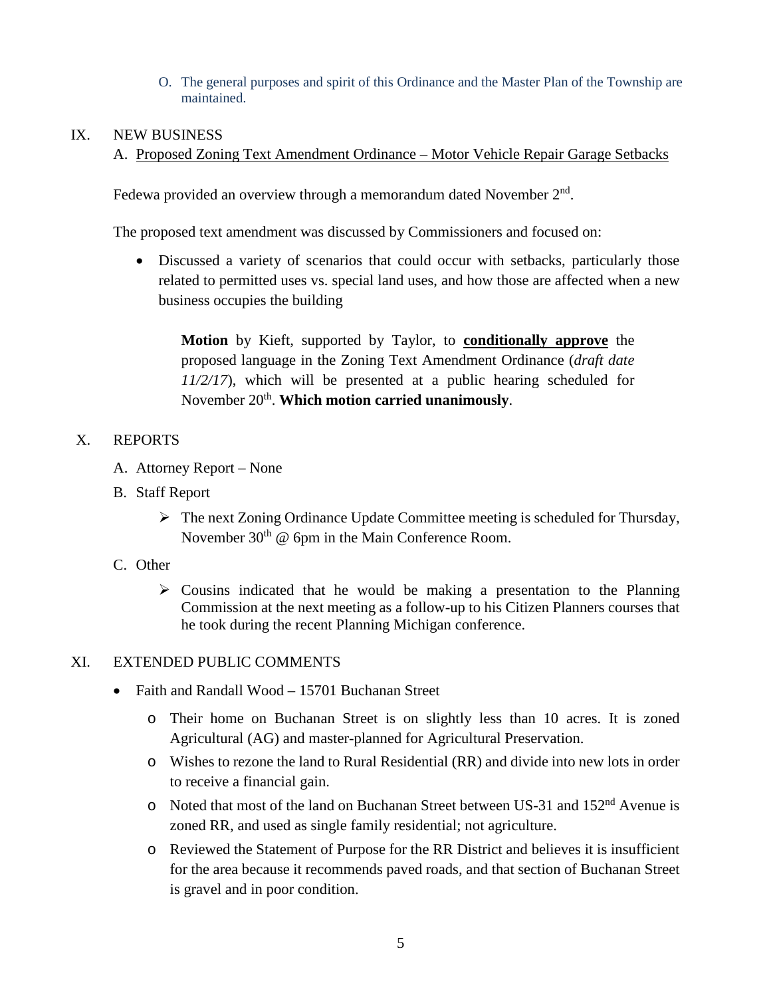O. The general purposes and spirit of this Ordinance and the Master Plan of the Township are maintained.

#### IX. NEW BUSINESS

#### A. Proposed Zoning Text Amendment Ordinance – Motor Vehicle Repair Garage Setbacks

Fedewa provided an overview through a memorandum dated November  $2<sup>nd</sup>$ .

The proposed text amendment was discussed by Commissioners and focused on:

• Discussed a variety of scenarios that could occur with setbacks, particularly those related to permitted uses vs. special land uses, and how those are affected when a new business occupies the building

**Motion** by Kieft, supported by Taylor, to **conditionally approve** the proposed language in the Zoning Text Amendment Ordinance (*draft date 11/2/17*), which will be presented at a public hearing scheduled for November 20<sup>th</sup>. **Which motion carried unanimously.** 

#### X. REPORTS

- A. Attorney Report None
- B. Staff Report
	- The next Zoning Ordinance Update Committee meeting is scheduled for Thursday, November  $30<sup>th</sup>$  @ 6pm in the Main Conference Room.
- C. Other
	- $\triangleright$  Cousins indicated that he would be making a presentation to the Planning Commission at the next meeting as a follow-up to his Citizen Planners courses that he took during the recent Planning Michigan conference.

### XI. EXTENDED PUBLIC COMMENTS

- Faith and Randall Wood 15701 Buchanan Street
	- o Their home on Buchanan Street is on slightly less than 10 acres. It is zoned Agricultural (AG) and master-planned for Agricultural Preservation.
	- o Wishes to rezone the land to Rural Residential (RR) and divide into new lots in order to receive a financial gain.
	- o Noted that most of the land on Buchanan Street between US-31 and 152nd Avenue is zoned RR, and used as single family residential; not agriculture.
	- o Reviewed the Statement of Purpose for the RR District and believes it is insufficient for the area because it recommends paved roads, and that section of Buchanan Street is gravel and in poor condition.